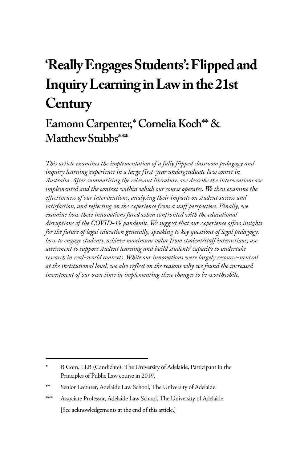# **'Really Engages Students': Flipped and Inquiry Learning in Law in the 21st Century**

# **Eamonn Carpenter,\* Cornelia Koch\*\* & Matthew Stubbs\*\*\***

*This article examines the implementation of a fully flipped classroom pedagogy and inquiry learning experience in a large first-year undergraduate law course in Australia. After summarising the relevant literature, we describe the interventions we implemented and the context within which our course operates. We then examine the effectiveness of our interventions, analysing their impacts on student success and satisfaction, and reflecting on the experience from a staff perspective. Finally, we examine how these innovations fared when confronted with the educational disruptions of the COVID-19 pandemic. We suggest that our experience offers insights for the future of legal education generally, speaking to key questions of legal pedagogy: how to engage students, achieve maximum value from student/staff interactions, use assessment to support student learning and build students' capacity to undertake research in real-world contexts. While our innovations were largely resource-neutral at the institutional level, we also reflect on the reasons why we found the increased investment of our own time in implementing these changes to be worthwhile.* 

B Com, LLB (Candidate), The University of Adelaide, Participant in the Principles of Public Law course in 2019.

<sup>\*\*</sup> Senior Lecturer, Adelaide Law School, The University of Adelaide.

<sup>\*\*\*</sup> Associate Professor, Adelaide Law School, The University of Adelaide. [See acknowledgements at the end of this article.]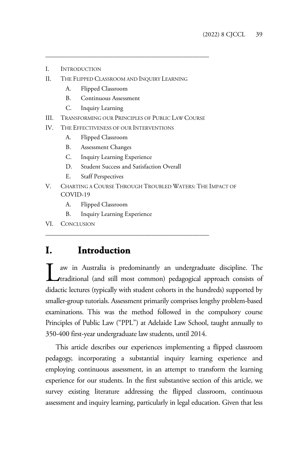- I. INTRODUCTION
- II. THE FLIPPED CLASSROOM AND INQUIRY LEARNING
	- A. Flipped Classroom
	- B. Continuous Assessment
	- C. Inquiry Learning
- III. TRANSFORMING OUR PRINCIPLES OF PUBLIC LAW COURSE

\_\_\_\_\_\_\_\_\_\_\_\_\_\_\_\_\_\_\_\_\_\_\_\_\_\_\_\_\_\_\_\_\_\_\_\_\_\_\_\_\_\_\_\_\_\_\_\_\_\_\_

- IV. THE EFFECTIVENESS OF OUR INTERVENTIONS
	- A. Flipped Classroom
	- B. Assessment Changes
	- C. Inquiry Learning Experience
	- D. Student Success and Satisfaction Overall

\_\_\_\_\_\_\_\_\_\_\_\_\_\_\_\_\_\_\_\_\_\_\_\_\_\_\_\_\_\_\_\_\_\_\_\_\_\_\_\_\_\_\_\_\_\_\_\_\_\_\_

- E. Staff Perspectives
- V. CHARTING A COURSE THROUGH TROUBLED WATERS: THE IMPACT OF COVID-19
	- A. Flipped Classroom
	- B. Inquiry Learning Experience
- VI. CONCLUSION

## **I. Introduction**

aw in Australia is predominantly an undergraduate discipline. The I aw in Australia is predominantly an undergraduate discipline. The traditional (and still most common) pedagogical approach consists of didactic lectures (typically with student cohorts in the hundreds) supported by smaller-group tutorials. Assessment primarily comprises lengthy problem-based examinations. This was the method followed in the compulsory course Principles of Public Law ("PPL") at Adelaide Law School, taught annually to 350-400 first-year undergraduate law students, until 2014.

This article describes our experiences implementing a flipped classroom pedagogy, incorporating a substantial inquiry learning experience and employing continuous assessment, in an attempt to transform the learning experience for our students. In the first substantive section of this article, we survey existing literature addressing the flipped classroom, continuous assessment and inquiry learning, particularly in legal education. Given that less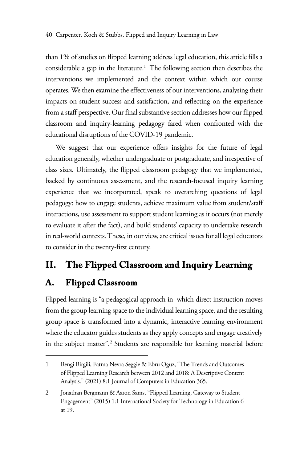than 1% of studies on flipped learning address legal education, this article fills a considerable a gap in the literature.<sup>1</sup> The following section then describes the interventions we implemented and the context within which our course operates. We then examine the effectiveness of our interventions, analysing their impacts on student success and satisfaction, and reflecting on the experience from a staff perspective. Our final substantive section addresses how our flipped classroom and inquiry-learning pedagogy fared when confronted with the educational disruptions of the COVID-19 pandemic.

We suggest that our experience offers insights for the future of legal education generally, whether undergraduate or postgraduate, and irrespective of class sizes. Ultimately, the flipped classroom pedagogy that we implemented, backed by continuous assessment, and the research-focused inquiry learning experience that we incorporated, speak to overarching questions of legal pedagogy: how to engage students, achieve maximum value from student/staff interactions, use assessment to support student learning as it occurs (not merely to evaluate it after the fact), and build students' capacity to undertake research in real-world contexts. These, in our view, are critical issues for all legal educators to consider in the twenty-first century.

# **II. The Flipped Classroom and Inquiry Learning**

# **A. Flipped Classroom**

Flipped learning is "a pedagogical approach in which direct instruction moves from the group learning space to the individual learning space, and the resulting group space is transformed into a dynamic, interactive learning environment where the educator guides students as they apply concepts and engage creatively in the subject matter".2 Students are responsible for learning material before

<sup>1</sup> Bengi Birgili, Fatma Nevra Seggie & Ebru Oguz, "The Trends and Outcomes of Flipped Learning Research between 2012 and 2018: A Descriptive Content Analysis." (2021) 8:1 Journal of Computers in Education 365.

<sup>2</sup> Jonathan Bergmann & Aaron Sams, "Flipped Learning, Gateway to Student Engagement" (2015) 1:1 International Society for Technology in Education 6 at 19.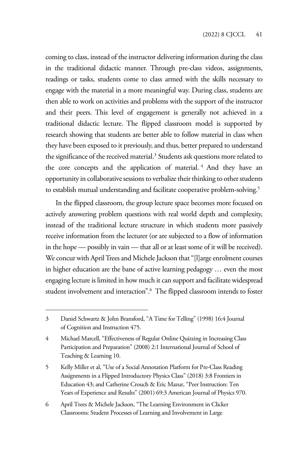coming to class, instead of the instructor delivering information during the class in the traditional didactic manner. Through pre-class videos, assignments, readings or tasks, students come to class armed with the skills necessary to engage with the material in a more meaningful way. During class, students are then able to work on activities and problems with the support of the instructor and their peers. This level of engagement is generally not achieved in a traditional didactic lecture. The flipped classroom model is supported by research showing that students are better able to follow material in class when they have been exposed to it previously, and thus, better prepared to understand the significance of the received material. $3$  Students ask questions more related to the core concepts and the application of material.<sup>4</sup> And they have an opportunity in collaborative sessions to verbalize their thinking to other students to establish mutual understanding and facilitate cooperative problem-solving.<sup>5</sup>

In the flipped classroom, the group lecture space becomes more focused on actively answering problem questions with real world depth and complexity, instead of the traditional lecture structure in which students more passively receive information from the lecturer (or are subjected to a flow of information in the hope — possibly in vain — that all or at least some of it will be received). We concur with April Trees and Michele Jackson that "[l]arge enrolment courses in higher education are the bane of active learning pedagogy … even the most engaging lecture is limited in how much it can support and facilitate widespread student involvement and interaction".6 The flipped classroom intends to foster

<sup>3</sup> Daniel Schwartz & John Bransford, "A Time for Telling" (1998) 16:4 Journal of Cognition and Instruction 475.

<sup>4</sup> Michael Marcell, "Effectiveness of Regular Online Quizzing in Increasing Class Participation and Preparation" (2008) 2:1 International Journal of School of Teaching & Learning 10.

<sup>5</sup> Kelly Miller et al, "Use of a Social Annotation Platform for Pre-Class Reading Assignments in a Flipped Introductory Physics Class" (2018) 3:8 Frontiers in Education 43; and Catherine Crouch & Eric Mazur, "Peer Instruction: Ten Years of Experience and Results" (2001) 69:3 American Journal of Physics 970.

<sup>6</sup> April Trees & Michele Jackson, "The Learning Environment in Clicker Classrooms: Student Processes of Learning and Involvement in Large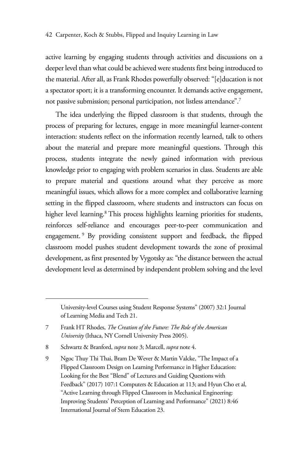active learning by engaging students through activities and discussions on a deeper level than what could be achieved were students first being introduced to the material. After all, as Frank Rhodes powerfully observed: "[e]ducation is not a spectator sport; it is a transforming encounter. It demands active engagement, not passive submission; personal participation, not listless attendance".7

The idea underlying the flipped classroom is that students, through the process of preparing for lectures, engage in more meaningful learner-content interaction: students reflect on the information recently learned, talk to others about the material and prepare more meaningful questions. Through this process, students integrate the newly gained information with previous knowledge prior to engaging with problem scenarios in class. Students are able to prepare material and questions around what they perceive as more meaningful issues, which allows for a more complex and collaborative learning setting in the flipped classroom, where students and instructors can focus on higher level learning.<sup>8</sup> This process highlights learning priorities for students, reinforces self-reliance and encourages peer-to-peer communication and engagement.<sup>9</sup> By providing consistent support and feedback, the flipped classroom model pushes student development towards the zone of proximal development, as first presented by Vygotsky as: "the distance between the actual development level as determined by independent problem solving and the level

University-level Courses using Student Response Systems" (2007) 32:1 Journal of Learning Media and Tech 21.

<sup>7</sup> Frank HT Rhodes, *The Creation of the Future: The Role of the American University* (Ithaca, NY Cornell University Press 2005).

<sup>8</sup> Schwartz & Branford, *supra* note 3; Marcell, *supra* note 4.

<sup>9</sup> Ngoc Thuy Thi Thai, Bram De Wever & Martin Valcke, "The Impact of a Flipped Classroom Design on Learning Performance in Higher Education: Looking for the Best "Blend" of Lectures and Guiding Questions with Feedback" (2017) 107:1 Computers & Education at 113; and Hyun Cho et al, "Active Learning through Flipped Classroom in Mechanical Engineering: Improving Students' Perception of Learning and Performance" (2021) 8:46 International Journal of Stem Education 23.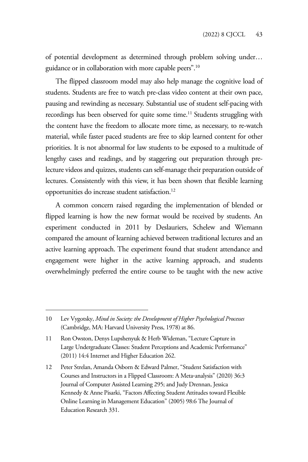of potential development as determined through problem solving under… guidance or in collaboration with more capable peers".10

The flipped classroom model may also help manage the cognitive load of students. Students are free to watch pre-class video content at their own pace, pausing and rewinding as necessary. Substantial use of student self-pacing with recordings has been observed for quite some time.<sup>11</sup> Students struggling with the content have the freedom to allocate more time, as necessary, to re-watch material, while faster paced students are free to skip learned content for other priorities. It is not abnormal for law students to be exposed to a multitude of lengthy cases and readings, and by staggering out preparation through prelecture videos and quizzes, students can self-manage their preparation outside of lectures. Consistently with this view, it has been shown that flexible learning opportunities do increase student satisfaction.12

A common concern raised regarding the implementation of blended or flipped learning is how the new format would be received by students. An experiment conducted in 2011 by Deslauriers, Schelew and Wiemann compared the amount of learning achieved between traditional lectures and an active learning approach. The experiment found that student attendance and engagement were higher in the active learning approach, and students overwhelmingly preferred the entire course to be taught with the new active

<sup>10</sup> Lev Vygotsky, *Mind in Society: the Development of Higher Psychological Processes* (Cambridge, MA: Harvard University Press, 1978) at 86.

<sup>11</sup> Ron Owston, Denys Lupshenyuk & Herb Wideman, "Lecture Capture in Large Undergraduate Classes: Student Perceptions and Academic Performance" (2011) 14:4 Internet and Higher Education 262.

<sup>12</sup> Peter Strelan, Amanda Osborn & Edward Palmer, "Student Satisfaction with Courses and Instructors in a Flipped Classroom: A Meta‐analysis" (2020) 36:3 Journal of Computer Assisted Learning 295; and Judy Drennan, Jessica Kennedy & Anne Pisarki, "Factors Affecting Student Attitudes toward Flexible Online Learning in Management Education" (2005) 98:6 The Journal of Education Research 331.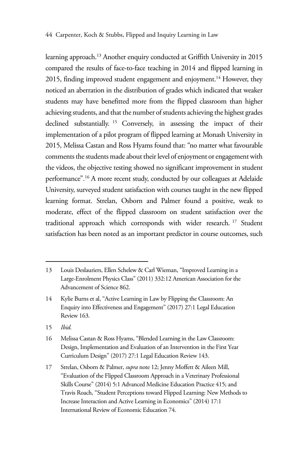learning approach.13 Another enquiry conducted at Griffith University in 2015 compared the results of face-to-face teaching in 2014 and flipped learning in 2015, finding improved student engagement and enjoyment.<sup>14</sup> However, they noticed an aberration in the distribution of grades which indicated that weaker students may have benefitted more from the flipped classroom than higher achieving students, and that the number of students achieving the highest grades declined substantially. 15 Conversely, in assessing the impact of their implementation of a pilot program of flipped learning at Monash University in 2015, Melissa Castan and Ross Hyams found that: "no matter what favourable comments the students made about their level of enjoyment or engagement with the videos, the objective testing showed no significant improvement in student performance".16 A more recent study, conducted by our colleagues at Adelaide University, surveyed student satisfaction with courses taught in the new flipped learning format. Strelan, Osborn and Palmer found a positive, weak to moderate, effect of the flipped classroom on student satisfaction over the traditional approach which corresponds with wider research. 17 Student satisfaction has been noted as an important predictor in course outcomes, such

15 *Ibid*.

<sup>13</sup> Louis Deslauriers, Ellen Schelew & Carl Wieman, "Improved Learning in a Large-Enrolment Physics Class" (2011) 332:12 American Association for the Advancement of Science 862.

<sup>14</sup> Kylie Burns et al, "Active Learning in Law by Flipping the Classroom: An Enquiry into Effectiveness and Engagement" (2017) 27:1 Legal Education Review 163.

<sup>16</sup> Melissa Castan & Ross Hyams, "Blended Learning in the Law Classroom: Design, Implementation and Evaluation of an Intervention in the First Year Curriculum Design" (2017) 27:1 Legal Education Review 143.

<sup>17</sup> Strelan, Osborn & Palmer, *supra* note 12; Jenny Moffett & Aileen Mill, "Evaluation of the Flipped Classroom Approach in a Veterinary Professional Skills Course" (2014) 5:1 Advanced Medicine Education Practice 415; and Travis Roach, "Student Perceptions toward Flipped Learning: New Methods to Increase Interaction and Active Learning in Economics" (2014) 17:1 International Review of Economic Education 74.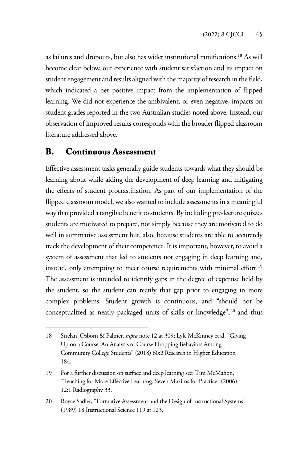as failures and dropouts, but also has wider institutional ramifications.18 As will become clear below, our experience with student satisfaction and its impact on student engagement and results aligned with the majority of research in the field, which indicated a net positive impact from the implementation of flipped learning. We did not experience the ambivalent, or even negative, impacts on student grades reported in the two Australian studies noted above. Instead, our observation of improved results corresponds with the broader flipped classroom literature addressed above.

## **B. Continuous Assessment**

Effective assessment tasks generally guide students towards what they should be learning about while aiding the development of deep learning and mitigating the effects of student procrastination. As part of our implementation of the flipped classroom model, we also wanted to include assessments in a meaningful way that provided a tangible benefit to students. By including pre-lecture quizzes students are motivated to prepare, not simply because they are motivated to do well in summative assessment but, also, because students are able to accurately track the development of their competence. It is important, however, to avoid a system of assessment that led to students not engaging in deep learning and, instead, only attempting to meet course requirements with minimal effort.<sup>19</sup> The assessment is intended to identify gaps in the degree of expertise held by the student, so the student can rectify that gap prior to engaging in more complex problems. Student growth is continuous, and "should not be conceptualized as neatly packaged units of skills or knowledge",<sup>20</sup> and thus

<sup>18</sup> Strelan, Osborn & Palmer, *supra* note 12 at 309; Lyle McKinney et al, "Giving Up on a Course: An Analysis of Course Dropping Behaviors Among Community College Students" (2018) 60:2 Research in Higher Education 184.

<sup>19</sup> For a further discussion on surface and deep learning see: Tim McMahon, "Teaching for More Effective Learning: Seven Maxims for Practice" (2006) 12:1 Radiography 33.

<sup>20</sup> Royce Sadler, "Formative Assessment and the Design of Instructional Systems" (1989) 18 Instructional Science 119 at 123.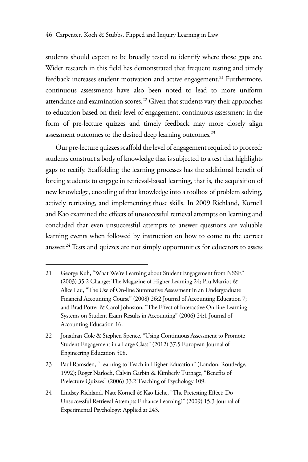students should expect to be broadly tested to identify where those gaps are. Wider research in this field has demonstrated that frequent testing and timely feedback increases student motivation and active engagement.<sup>21</sup> Furthermore, continuous assessments have also been noted to lead to more uniform attendance and examination scores.<sup>22</sup> Given that students vary their approaches to education based on their level of engagement, continuous assessment in the form of pre-lecture quizzes and timely feedback may more closely align assessment outcomes to the desired deep learning outcomes.<sup>23</sup>

Our pre-lecture quizzes scaffold the level of engagement required to proceed: students construct a body of knowledge that is subjected to a test that highlights gaps to rectify. Scaffolding the learning processes has the additional benefit of forcing students to engage in retrieval-based learning, that is, the acquisition of new knowledge, encoding of that knowledge into a toolbox of problem solving, actively retrieving, and implementing those skills. In 2009 Richland, Kornell and Kao examined the effects of unsuccessful retrieval attempts on learning and concluded that even unsuccessful attempts to answer questions are valuable learning events when followed by instruction on how to come to the correct answer.<sup>24</sup> Tests and quizzes are not simply opportunities for educators to assess

<sup>21</sup> George Kuh, "What We're Learning about Student Engagement from NSSE" (2003) 35:2 Change: The Magazine of Higher Learning 24; Pru Marriot & Alice Lau, "The Use of On-line Summative Assessment in an Undergraduate Financial Accounting Course" (2008) 26:2 Journal of Accounting Education 7; and Brad Potter & Carol Johnston, "The Effect of Interactive On-line Learning Systems on Student Exam Results in Accounting" (2006) 24:1 Journal of Accounting Education 16.

<sup>22</sup> Jonathan Cole & Stephen Spence, "Using Continuous Assessment to Promote Student Engagement in a Large Class" (2012) 37:5 European Journal of Engineering Education 508.

<sup>23</sup> Paul Ramsden, "Learning to Teach in Higher Education" (London: Routledge; 1992); Roger Narloch, Calvin Garbin & Kimberly Turnage, "Benefits of Prelecture Quizzes" (2006) 33:2 Teaching of Psychology 109.

<sup>24</sup> Lindsey Richland, Nate Kornell & Kao Liche, "The Pretesting Effect: Do Unsuccessful Retrieval Attempts Enhance Learning?" (2009) 15:3 Journal of Experimental Psychology: Applied at 243.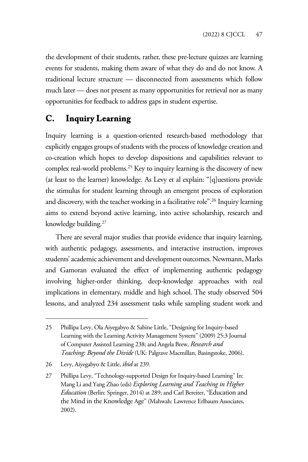the development of their students, rather, these pre-lecture quizzes are learning events for students, making them aware of what they do and do not know. A traditional lecture structure — disconnected from assessments which follow much later — does not present as many opportunities for retrieval nor as many opportunities for feedback to address gaps in student expertise.

## **C. Inquiry Learning**

Inquiry learning is a question-oriented research-based methodology that explicitly engages groups of students with the process of knowledge creation and co-creation which hopes to develop dispositions and capabilities relevant to complex real-world problems.25 Key to inquiry learning is the discovery of new (at least to the learner) knowledge. As Levy et al explain: "[q]uestions provide the stimulus for student learning through an emergent process of exploration and discovery, with the teacher working in a facilitative role".<sup>26</sup> Inquiry learning aims to extend beyond active learning, into active scholarship, research and knowledge building.27

There are several major studies that provide evidence that inquiry learning, with authentic pedagogy, assessments, and interactive instruction, improves students' academic achievement and development outcomes. Newmann, Marks and Gamoran evaluated the effect of implementing authentic pedagogy involving higher-order thinking, deep-knowledge approaches with real implications in elementary, middle and high school. The study observed 504 lessons, and analyzed 234 assessment tasks while sampling student work and

<sup>25</sup> Phillipa Levy, Ola Aiyegabyo & Sabine Little, "Designing for Inquiry-based Learning with the Learning Activity Management System" (2009) 25:3 Journal of Computer Assisted Learning 238; and Angela Brew, *Research and Teaching: Beyond the Divide* (UK: Palgrave Macmillan, Basingstoke, 2006).

<sup>26</sup> Levy, Aiyegabyo & Little, *ibid* at 239.

<sup>27</sup> Phillipa Levy, "Technology-supported Design for Inquiry-based Learning" In: Mang Li and Yang Zhao (eds) *Exploring Learning and Teaching in Higher Education* (Berlin: Springer, 2014) at 289; and Carl Bereiter, "Education and the Mind in the Knowledge Age" (Mahwah: Lawrence Erlbaum Associates, 2002).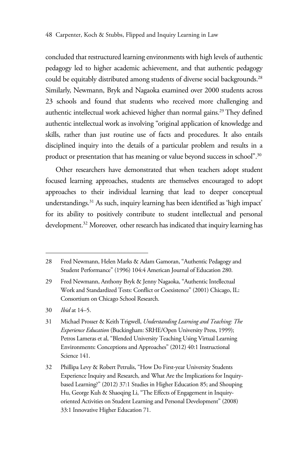concluded that restructured learning environments with high levels of authentic pedagogy led to higher academic achievement, and that authentic pedagogy could be equitably distributed among students of diverse social backgrounds.<sup>28</sup> Similarly, Newmann, Bryk and Nagaoka examined over 2000 students across 23 schools and found that students who received more challenging and authentic intellectual work achieved higher than normal gains.<sup>29</sup> They defined authentic intellectual work as involving "original application of knowledge and skills, rather than just routine use of facts and procedures. It also entails disciplined inquiry into the details of a particular problem and results in a product or presentation that has meaning or value beyond success in school".30

Other researchers have demonstrated that when teachers adopt student focused learning approaches, students are themselves encouraged to adopt approaches to their individual learning that lead to deeper conceptual understandings.31 As such, inquiry learning has been identified as 'high impact' for its ability to positively contribute to student intellectual and personal development.<sup>32</sup> Moreover, other research has indicated that inquiry learning has

32 Phillipa Levy & Robert Petrulis, "How Do First-year University Students Experience Inquiry and Research, and What Are the Implications for Inquirybased Learning?" (2012) 37:1 Studies in Higher Education 85; and Shouping Hu, George Kuh & Shaoqing Li, "The Effects of Engagement in Inquiryoriented Activities on Student Learning and Personal Development" (2008) 33:1 Innovative Higher Education 71.

<sup>28</sup> Fred Newmann, Helen Marks & Adam Gamoran, "Authentic Pedagogy and Student Performance" (1996) 104:4 American Journal of Education 280.

<sup>29</sup> Fred Newmann, Anthony Bryk & Jenny Nagaoka, "Authentic Intellectual Work and Standardized Tests: Conflict or Coexistence" (2001) Chicago, IL: Consortium on Chicago School Research.

<sup>30</sup> *Ibid* at 14–5.

<sup>31</sup> Michael Prosser & Keith Trigwell, *Understanding Learning and Teaching: The Experience Education* (Buckingham: SRHE/Open University Press, 1999); Petros Lameras et al, "Blended University Teaching Using Virtual Learning Environments: Conceptions and Approaches" (2012) 40:1 Instructional Science 141.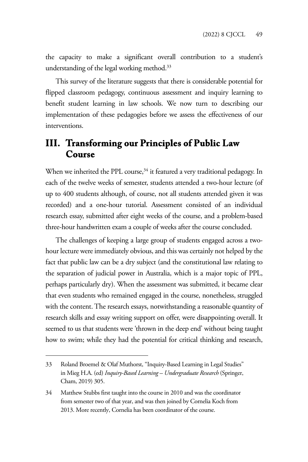the capacity to make a significant overall contribution to a student's understanding of the legal working method.<sup>33</sup>

This survey of the literature suggests that there is considerable potential for flipped classroom pedagogy, continuous assessment and inquiry learning to benefit student learning in law schools. We now turn to describing our implementation of these pedagogies before we assess the effectiveness of our interventions.

## **III. Transforming our Principles of Public Law Course**

When we inherited the PPL course,<sup>34</sup> it featured a very traditional pedagogy. In each of the twelve weeks of semester, students attended a two-hour lecture (of up to 400 students although, of course, not all students attended given it was recorded) and a one-hour tutorial. Assessment consisted of an individual research essay, submitted after eight weeks of the course, and a problem-based three-hour handwritten exam a couple of weeks after the course concluded.

The challenges of keeping a large group of students engaged across a twohour lecture were immediately obvious, and this was certainly not helped by the fact that public law can be a dry subject (and the constitutional law relating to the separation of judicial power in Australia, which is a major topic of PPL, perhaps particularly dry). When the assessment was submitted, it became clear that even students who remained engaged in the course, nonetheless, struggled with the content. The research essays, notwithstanding a reasonable quantity of research skills and essay writing support on offer, were disappointing overall. It seemed to us that students were 'thrown in the deep end' without being taught how to swim; while they had the potential for critical thinking and research,

<sup>33</sup> Roland Broemel & Olaf Muthorst, "Inquiry-Based Learning in Legal Studies" in Mieg H.A. (ed) *Inquiry-Based Learning – Undergraduate Research* (Springer, Cham, 2019) 305.

<sup>34</sup> Matthew Stubbs first taught into the course in 2010 and was the coordinator from semester two of that year, and was then joined by Cornelia Koch from 2013. More recently, Cornelia has been coordinator of the course.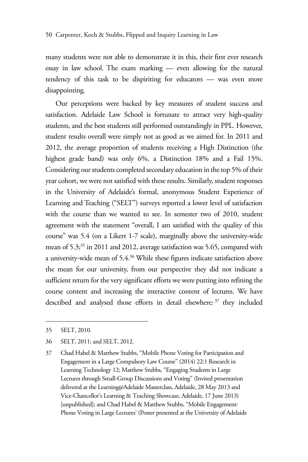many students were not able to demonstrate it in this, their first ever research essay in law school. The exam marking — even allowing for the natural tendency of this task to be dispiriting for educators — was even more disappointing.

Our perceptions were backed by key measures of student success and satisfaction. Adelaide Law School is fortunate to attract very high-quality students, and the best students still performed outstandingly in PPL. However, student results overall were simply not as good as we aimed for. In 2011 and 2012, the average proportion of students receiving a High Distinction (the highest grade band) was only 6%, a Distinction 18% and a Fail 15%. Considering our students completed secondary education in the top 5% of their year cohort, we were not satisfied with these results. Similarly, student responses in the University of Adelaide's formal, anonymous Student Experience of Learning and Teaching ("SELT") surveys reported a lower level of satisfaction with the course than we wanted to see. In semester two of 2010, student agreement with the statement "overall, I am satisfied with the quality of this course" was 5.4 (on a Likert 1-7 scale), marginally above the university-wide mean of 5.3<sup>,35</sup> in 2011 and 2012, average satisfaction was 5.65, compared with a university-wide mean of 5.4.36 While these figures indicate satisfaction above the mean for our university, from our perspective they did not indicate a sufficient return for the very significant efforts we were putting into refining the course content and increasing the interactive content of lectures. We have described and analysed those efforts in detail elsewhere: <sup>37</sup> they included

<sup>35</sup> SELT, 2010.

<sup>36</sup> SELT, 2011; and SELT, 2012.

<sup>37</sup> Chad Habel & Matthew Stubbs, "Mobile Phone Voting for Participation and Engagement in a Large Compulsory Law Course" (2014) 22:1 Research in Learning Technology 12; Matthew Stubbs, "Engaging Students in Large Lectures through Small-Group Discussions and Voting" (Invited presentation delivered at the Learning@Adelaide Masterclass, Adelaide, 28 May 2013 and Vice-Chancellor's Learning & Teaching Showcase, Adelaide, 17 June 2013) [unpublished]; and Chad Habel & Matthew Stubbs, "Mobile Engagement: Phone Voting in Large Lectures' (Poster presented at the University of Adelaide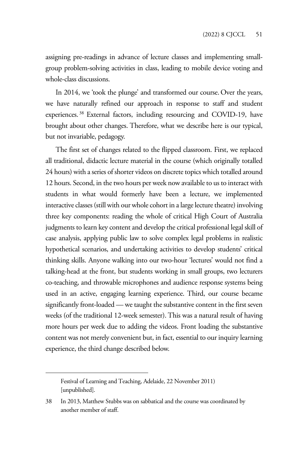assigning pre-readings in advance of lecture classes and implementing smallgroup problem-solving activities in class, leading to mobile device voting and whole-class discussions.

In 2014, we 'took the plunge' and transformed our course. Over the years, we have naturally refined our approach in response to staff and student experiences. 38 External factors, including resourcing and COVID-19, have brought about other changes. Therefore, what we describe here is our typical, but not invariable, pedagogy.

The first set of changes related to the flipped classroom. First, we replaced all traditional, didactic lecture material in the course (which originally totalled 24 hours) with a series of shorter videos on discrete topics which totalled around 12 hours. Second, in the two hours per week now available to us to interact with students in what would formerly have been a lecture, we implemented interactive classes (still with our whole cohort in a large lecture theatre) involving three key components: reading the whole of critical High Court of Australia judgments to learn key content and develop the critical professional legal skill of case analysis, applying public law to solve complex legal problems in realistic hypothetical scenarios, and undertaking activities to develop students' critical thinking skills. Anyone walking into our two-hour 'lectures' would not find a talking-head at the front, but students working in small groups, two lecturers co-teaching, and throwable microphones and audience response systems being used in an active, engaging learning experience. Third, our course became significantly front-loaded — we taught the substantive content in the first seven weeks (of the traditional 12-week semester). This was a natural result of having more hours per week due to adding the videos. Front loading the substantive content was not merely convenient but, in fact, essential to our inquiry learning experience, the third change described below.

Festival of Learning and Teaching, Adelaide, 22 November 2011) [unpublished].

<sup>38</sup> In 2013, Matthew Stubbs was on sabbatical and the course was coordinated by another member of staff.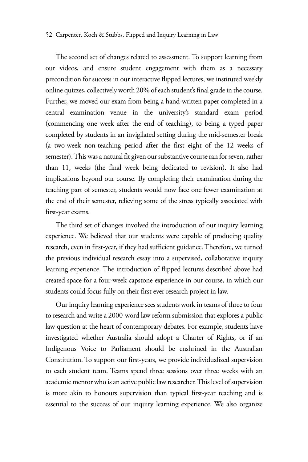#### 52 Carpenter, Koch & Stubbs, Flipped and Inquiry Learning in Law

The second set of changes related to assessment. To support learning from our videos, and ensure student engagement with them as a necessary precondition for success in our interactive flipped lectures, we instituted weekly online quizzes, collectively worth 20% of each student's final grade in the course. Further, we moved our exam from being a hand-written paper completed in a central examination venue in the university's standard exam period (commencing one week after the end of teaching), to being a typed paper completed by students in an invigilated setting during the mid-semester break (a two-week non-teaching period after the first eight of the 12 weeks of semester). This was a natural fit given our substantive course ran for seven, rather than 11, weeks (the final week being dedicated to revision). It also had implications beyond our course. By completing their examination during the teaching part of semester, students would now face one fewer examination at the end of their semester, relieving some of the stress typically associated with first-year exams.

The third set of changes involved the introduction of our inquiry learning experience. We believed that our students were capable of producing quality research, even in first-year, if they had sufficient guidance. Therefore, we turned the previous individual research essay into a supervised, collaborative inquiry learning experience. The introduction of flipped lectures described above had created space for a four-week capstone experience in our course, in which our students could focus fully on their first ever research project in law.

Our inquiry learning experience sees students work in teams of three to four to research and write a 2000-word law reform submission that explores a public law question at the heart of contemporary debates. For example, students have investigated whether Australia should adopt a Charter of Rights, or if an Indigenous Voice to Parliament should be enshrined in the Australian Constitution. To support our first-years, we provide individualized supervision to each student team. Teams spend three sessions over three weeks with an academic mentor who is an active public law researcher. This level of supervision is more akin to honours supervision than typical first-year teaching and is essential to the success of our inquiry learning experience. We also organize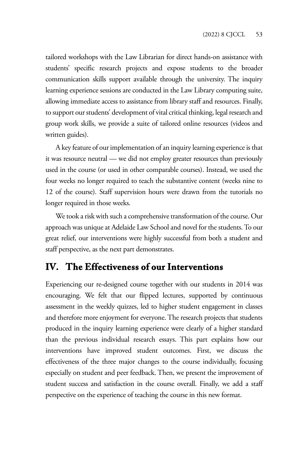tailored workshops with the Law Librarian for direct hands-on assistance with students' specific research projects and expose students to the broader communication skills support available through the university. The inquiry learning experience sessions are conducted in the Law Library computing suite, allowing immediate access to assistance from library staff and resources. Finally, to support our students' development of vital critical thinking, legal research and group work skills, we provide a suite of tailored online resources (videos and written guides).

A key feature of our implementation of an inquiry learning experience is that it was resource neutral — we did not employ greater resources than previously used in the course (or used in other comparable courses). Instead, we used the four weeks no longer required to teach the substantive content (weeks nine to 12 of the course). Staff supervision hours were drawn from the tutorials no longer required in those weeks.

We took a risk with such a comprehensive transformation of the course. Our approach was unique at Adelaide Law School and novel for the students. To our great relief, our interventions were highly successful from both a student and staff perspective, as the next part demonstrates.

## **IV. The Effectiveness of our Interventions**

Experiencing our re-designed course together with our students in 2014 was encouraging. We felt that our flipped lectures, supported by continuous assessment in the weekly quizzes, led to higher student engagement in classes and therefore more enjoyment for everyone. The research projects that students produced in the inquiry learning experience were clearly of a higher standard than the previous individual research essays. This part explains how our interventions have improved student outcomes. First, we discuss the effectiveness of the three major changes to the course individually, focusing especially on student and peer feedback. Then, we present the improvement of student success and satisfaction in the course overall. Finally, we add a staff perspective on the experience of teaching the course in this new format.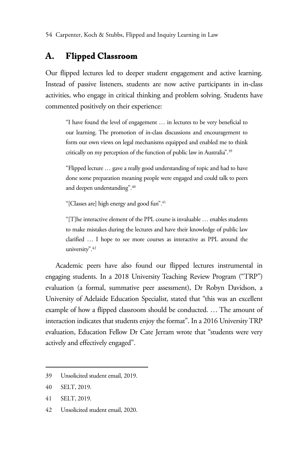# **A. Flipped Classroom**

Our flipped lectures led to deeper student engagement and active learning. Instead of passive listeners, students are now active participants in in-class activities, who engage in critical thinking and problem solving. Students have commented positively on their experience:

"I have found the level of engagement … in lectures to be very beneficial to our learning. The promotion of in-class discussions and encouragement to form our own views on legal mechanisms equipped and enabled me to think critically on my perception of the function of public law in Australia".39

"Flipped lecture … gave a really good understanding of topic and had to have done some preparation meaning people were engaged and could talk to peers and deepen understanding".40

"[Classes are] high energy and good fun".41

"[T]he interactive element of the PPL course is invaluable … enables students to make mistakes during the lectures and have their knowledge of public law clarified … I hope to see more courses as interactive as PPL around the university".42

Academic peers have also found our flipped lectures instrumental in engaging students. In a 2018 University Teaching Review Program ("TRP") evaluation (a formal, summative peer assessment), Dr Robyn Davidson, a University of Adelaide Education Specialist, stated that "this was an excellent example of how a flipped classroom should be conducted. … The amount of interaction indicates that students enjoy the format". In a 2016 University TRP evaluation, Education Fellow Dr Cate Jerram wrote that "students were very actively and effectively engaged".

42 Unsolicited student email, 2020.

<sup>39</sup> Unsolicited student email, 2019.

<sup>40</sup> SELT, 2019.

<sup>41</sup> SELT, 2019.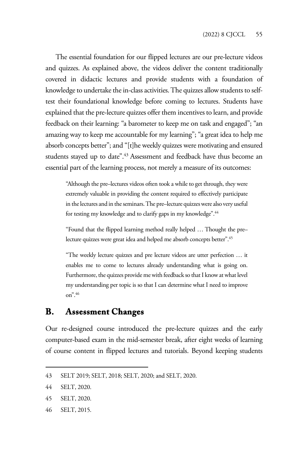The essential foundation for our flipped lectures are our pre-lecture videos and quizzes. As explained above, the videos deliver the content traditionally covered in didactic lectures and provide students with a foundation of knowledge to undertake the in-class activities. The quizzes allow students to selftest their foundational knowledge before coming to lectures. Students have explained that the pre-lecture quizzes offer them incentives to learn, and provide feedback on their learning: "a barometer to keep me on task and engaged"; "an amazing way to keep me accountable for my learning"; "a great idea to help me absorb concepts better"; and "[t]he weekly quizzes were motivating and ensured students stayed up to date".43 Assessment and feedback have thus become an essential part of the learning process, not merely a measure of its outcomes:

"Although the pre–lectures videos often took a while to get through, they were extremely valuable in providing the content required to effectively participate in the lectures and in the seminars. The pre–lecture quizzes were also very useful for testing my knowledge and to clarify gaps in my knowledge".<sup>44</sup>

"Found that the flipped learning method really helped … Thought the pre– lecture quizzes were great idea and helped me absorb concepts better".45

"The weekly lecture quizzes and pre lecture videos are utter perfection … it enables me to come to lectures already understanding what is going on. Furthermore, the quizzes provide me with feedback so that I know at what level my understanding per topic is so that I can determine what I need to improve on".46

## **B. Assessment Changes**

Our re-designed course introduced the pre-lecture quizzes and the early computer-based exam in the mid-semester break, after eight weeks of learning of course content in flipped lectures and tutorials. Beyond keeping students

46 SELT, 2015.

<sup>43</sup> SELT 2019; SELT, 2018; SELT, 2020; and SELT, 2020.

<sup>44</sup> SELT, 2020.

<sup>45</sup> SELT, 2020.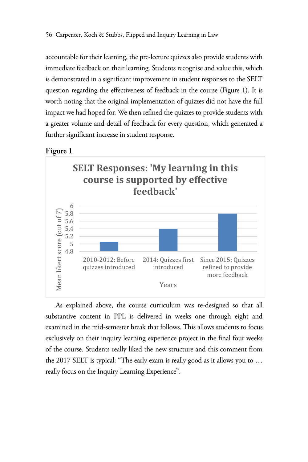accountable for their learning, the pre-lecture quizzes also provide students with immediate feedback on their learning. Students recognise and value this, which is demonstrated in a significant improvement in student responses to the SELT question regarding the effectiveness of feedback in the course (Figure 1). It is worth noting that the original implementation of quizzes did not have the full impact we had hoped for. We then refined the quizzes to provide students with a greater volume and detail of feedback for every question, which generated a further significant increase in student response.

#### **Figure 1**



As explained above, the course curriculum was re-designed so that all substantive content in PPL is delivered in weeks one through eight and examined in the mid-semester break that follows. This allows students to focus exclusively on their inquiry learning experience project in the final four weeks of the course. Students really liked the new structure and this comment from the 2017 SELT is typical: "The early exam is really good as it allows you to … really focus on the Inquiry Learning Experience".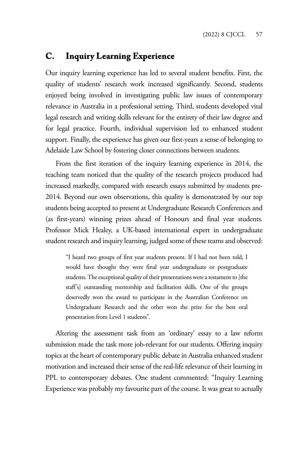## **C. Inquiry Learning Experience**

Our inquiry learning experience has led to several student benefits. First, the quality of students' research work increased significantly. Second, students enjoyed being involved in investigating public law issues of contemporary relevance in Australia in a professional setting. Third, students developed vital legal research and writing skills relevant for the entirety of their law degree and for legal practice. Fourth, individual supervision led to enhanced student support. Finally, the experience has given our first-years a sense of belonging to Adelaide Law School by fostering closer connections between students.

From the first iteration of the inquiry learning experience in 2014, the teaching team noticed that the quality of the research projects produced had increased markedly, compared with research essays submitted by students pre-2014. Beyond our own observations, this quality is demonstrated by our top students being accepted to present at Undergraduate Research Conferences and (as first-years) winning prizes ahead of Honours and final year students. Professor Mick Healey, a UK-based international expert in undergraduate student research and inquiry learning, judged some of these teams and observed:

"I heard two groups of first year students present. If I had not been told, I would have thought they were final year undergraduate or postgraduate students. The exceptional quality of their presentations were a testament to [the staff's] outstanding mentorship and facilitation skills. One of the groups deservedly won the award to participate in the Australian Conference on Undergraduate Research and the other won the prize for the best oral presentation from Level 1 students".

Altering the assessment task from an 'ordinary' essay to a law reform submission made the task more job-relevant for our students. Offering inquiry topics at the heart of contemporary public debate in Australia enhanced student motivation and increased their sense of the real-life relevance of their learning in PPL to contemporary debates. One student commented: "Inquiry Learning Experience was probably my favourite part of the course. It was great to actually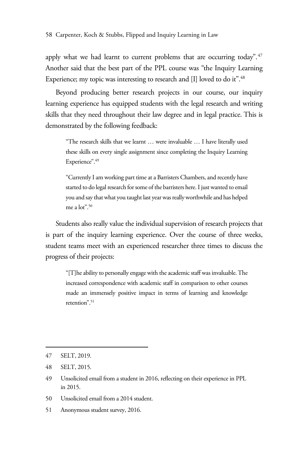apply what we had learnt to current problems that are occurring today".<sup>47</sup> Another said that the best part of the PPL course was "the Inquiry Learning Experience; my topic was interesting to research and [I] loved to do it".<sup>48</sup>

Beyond producing better research projects in our course, our inquiry learning experience has equipped students with the legal research and writing skills that they need throughout their law degree and in legal practice. This is demonstrated by the following feedback:

"The research skills that we learnt … were invaluable … I have literally used these skills on every single assignment since completing the Inquiry Learning Experience".<sup>49</sup>

"Currently I am working part time at a Barristers Chambers, and recently have started to do legal research for some of the barristers here. I just wanted to email you and say that what you taught last year was really worthwhile and has helped me a lot".50

Students also really value the individual supervision of research projects that is part of the inquiry learning experience. Over the course of three weeks, student teams meet with an experienced researcher three times to discuss the progress of their projects:

"[T]he ability to personally engage with the academic staff was invaluable. The increased correspondence with academic staff in comparison to other courses made an immensely positive impact in terms of learning and knowledge retention".<sup>51</sup>

- 50 Unsolicited email from a 2014 student.
- 51 Anonymous student survey, 2016.

<sup>47</sup> SELT, 2019.

<sup>48</sup> SELT, 2015.

<sup>49</sup> Unsolicited email from a student in 2016, reflecting on their experience in PPL in 2015.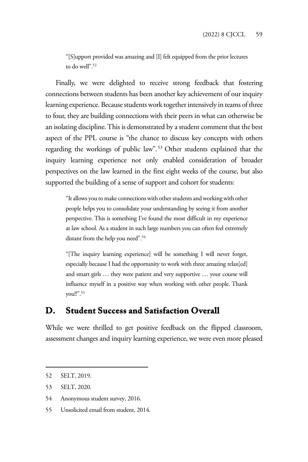"[S]upport provided was amazing and [I] felt equipped from the prior lectures to do well".<sup>52</sup>

Finally, we were delighted to receive strong feedback that fostering connections between students has been another key achievement of our inquiry learning experience. Because students work together intensively in teams of three to four, they are building connections with their peers in what can otherwise be an isolating discipline. This is demonstrated by a student comment that the best aspect of the PPL course is "the chance to discuss key concepts with others regarding the workings of public law".53 Other students explained that the inquiry learning experience not only enabled consideration of broader perspectives on the law learned in the first eight weeks of the course, but also supported the building of a sense of support and cohort for students:

"It allows you to make connections with other students and working with other people helps you to consolidate your understanding by seeing it from another perspective. This is something I've found the most difficult in my experience at law school. As a student in such large numbers you can often feel extremely distant from the help you need".<sup>54</sup>

"[The inquiry learning experience] will be something I will never forget, especially because I had the opportunity to work with three amazing relax[ed] and smart girls … they were patient and very supportive … your course will influence myself in a positive way when working with other people. Thank you!!".55

## **D. Student Success and Satisfaction Overall**

While we were thrilled to get positive feedback on the flipped classroom, assessment changes and inquiry learning experience, we were even more pleased

54 Anonymous student survey, 2016.

<sup>52</sup> SELT, 2019.

<sup>53</sup> SELT, 2020.

<sup>55</sup> Unsolicited email from student, 2014.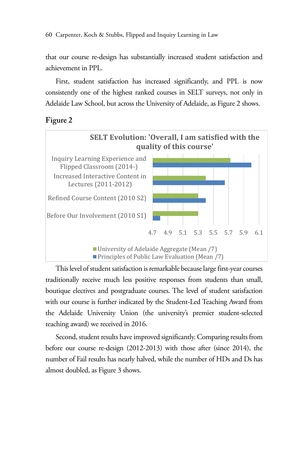60 Carpenter, Koch & Stubbs, Flipped and Inquiry Learning in Law

that our course re-design has substantially increased student satisfaction and achievement in PPL.

First, student satisfaction has increased significantly, and PPL is now consistently one of the highest ranked courses in SELT surveys, not only in Adelaide Law School, but across the University of Adelaide, as Figure 2 shows.

### **Figure 2**



This level of student satisfaction is remarkable because large first-year courses traditionally receive much less positive responses from students than small, boutique electives and postgraduate courses. The level of student satisfaction with our course is further indicated by the Student-Led Teaching Award from the Adelaide University Union (the university's premier student-selected teaching award) we received in 2016.

Second, student results have improved significantly. Comparing results from before our course re-design (2012-2013) with those after (since 2014), the number of Fail results has nearly halved, while the number of HDs and Ds has almost doubled, as Figure 3 shows.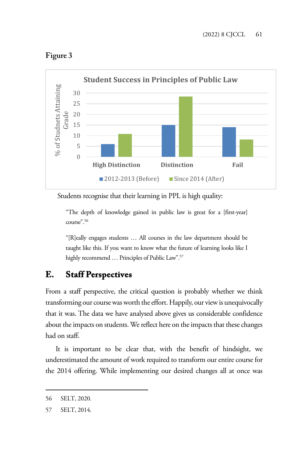



Students recognise that their learning in PPL is high quality:

"The depth of knowledge gained in public law is great for a [first-year] course".56

"[R]eally engages students … All courses in the law department should be taught like this. If you want to know what the future of learning looks like I highly recommend ... Principles of Public Law".<sup>57</sup>

## **E. Staff Perspectives**

From a staff perspective, the critical question is probably whether we think transforming our course was worth the effort. Happily, our view is unequivocally that it was. The data we have analysed above gives us considerable confidence about the impacts on students. We reflect here on the impacts that these changes had on staff.

It is important to be clear that, with the benefit of hindsight, we underestimated the amount of work required to transform our entire course for the 2014 offering. While implementing our desired changes all at once was

<sup>56</sup> SELT, 2020.

<sup>57</sup> SELT, 2014.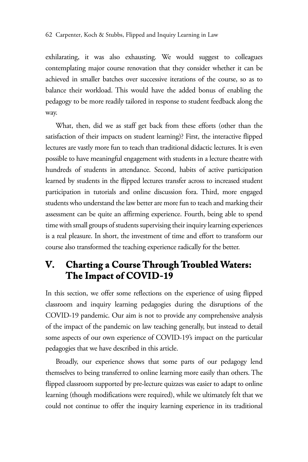exhilarating, it was also exhausting. We would suggest to colleagues contemplating major course renovation that they consider whether it can be achieved in smaller batches over successive iterations of the course, so as to balance their workload. This would have the added bonus of enabling the pedagogy to be more readily tailored in response to student feedback along the way.

What, then, did we as staff get back from these efforts (other than the satisfaction of their impacts on student learning)? First, the interactive flipped lectures are vastly more fun to teach than traditional didactic lectures. It is even possible to have meaningful engagement with students in a lecture theatre with hundreds of students in attendance. Second, habits of active participation learned by students in the flipped lectures transfer across to increased student participation in tutorials and online discussion fora. Third, more engaged students who understand the law better are more fun to teach and marking their assessment can be quite an affirming experience. Fourth, being able to spend time with small groups of students supervising their inquiry learning experiences is a real pleasure. In short, the investment of time and effort to transform our course also transformed the teaching experience radically for the better.

# **V. Charting a Course Through Troubled Waters: The Impact of COVID-19**

In this section, we offer some reflections on the experience of using flipped classroom and inquiry learning pedagogies during the disruptions of the COVID-19 pandemic. Our aim is not to provide any comprehensive analysis of the impact of the pandemic on law teaching generally, but instead to detail some aspects of our own experience of COVID-19's impact on the particular pedagogies that we have described in this article.

Broadly, our experience shows that some parts of our pedagogy lend themselves to being transferred to online learning more easily than others. The flipped classroom supported by pre-lecture quizzes was easier to adapt to online learning (though modifications were required), while we ultimately felt that we could not continue to offer the inquiry learning experience in its traditional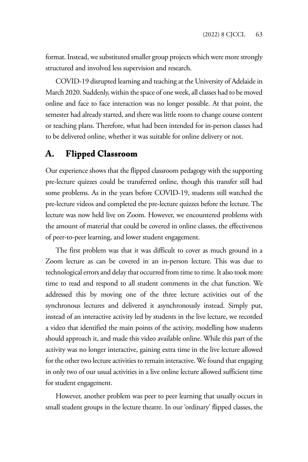format. Instead, we substituted smaller group projects which were more strongly structured and involved less supervision and research.

COVID-19 disrupted learning and teaching at the University of Adelaide in March 2020. Suddenly, within the space of one week, all classes had to be moved online and face to face interaction was no longer possible. At that point, the semester had already started, and there was little room to change course content or teaching plans. Therefore, what had been intended for in-person classes had to be delivered online, whether it was suitable for online delivery or not.

## **A. Flipped Classroom**

Our experience shows that the flipped classroom pedagogy with the supporting pre-lecture quizzes could be transferred online, though this transfer still had some problems. As in the years before COVID-19, students still watched the pre-lecture videos and completed the pre-lecture quizzes before the lecture. The lecture was now held live on Zoom. However, we encountered problems with the amount of material that could be covered in online classes, the effectiveness of peer-to-peer learning, and lower student engagement.

The first problem was that it was difficult to cover as much ground in a Zoom lecture as can be covered in an in-person lecture. This was due to technological errors and delay that occurred from time to time. It also took more time to read and respond to all student comments in the chat function. We addressed this by moving one of the three lecture activities out of the synchronous lectures and delivered it asynchronously instead. Simply put, instead of an interactive activity led by students in the live lecture, we recorded a video that identified the main points of the activity, modelling how students should approach it, and made this video available online. While this part of the activity was no longer interactive, gaining extra time in the live lecture allowed for the other two lecture activities to remain interactive. We found that engaging in only two of our usual activities in a live online lecture allowed sufficient time for student engagement.

However, another problem was peer to peer learning that usually occurs in small student groups in the lecture theatre. In our 'ordinary' flipped classes, the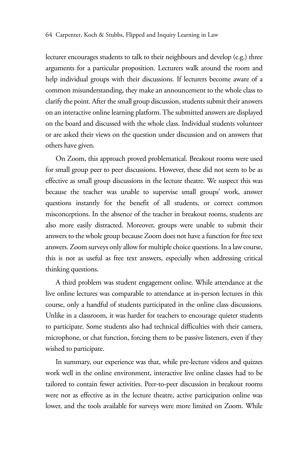lecturer encourages students to talk to their neighbours and develop (e.g.) three arguments for a particular proposition. Lecturers walk around the room and help individual groups with their discussions. If lecturers become aware of a common misunderstanding, they make an announcement to the whole class to clarify the point. After the small group discussion, students submit their answers on an interactive online learning platform. The submitted answers are displayed on the board and discussed with the whole class. Individual students volunteer or are asked their views on the question under discussion and on answers that others have given.

On Zoom, this approach proved problematical. Breakout rooms were used for small group peer to peer discussions. However, these did not seem to be as effective as small group discussions in the lecture theatre. We suspect this was because the teacher was unable to supervise small groups' work, answer questions instantly for the benefit of all students, or correct common misconceptions. In the absence of the teacher in breakout rooms, students are also more easily distracted. Moreover, groups were unable to submit their answers to the whole group because Zoom does not have a function for free text answers. Zoom surveys only allow for multiple choice questions. In a law course, this is not as useful as free text answers, especially when addressing critical thinking questions.

A third problem was student engagement online. While attendance at the live online lectures was comparable to attendance at in-person lectures in this course, only a handful of students participated in the online class discussions. Unlike in a classroom, it was harder for teachers to encourage quieter students to participate. Some students also had technical difficulties with their camera, microphone, or chat function, forcing them to be passive listeners, even if they wished to participate.

In summary, our experience was that, while pre-lecture videos and quizzes work well in the online environment, interactive live online classes had to be tailored to contain fewer activities. Peer-to-peer discussion in breakout rooms were not as effective as in the lecture theatre, active participation online was lower, and the tools available for surveys were more limited on Zoom. While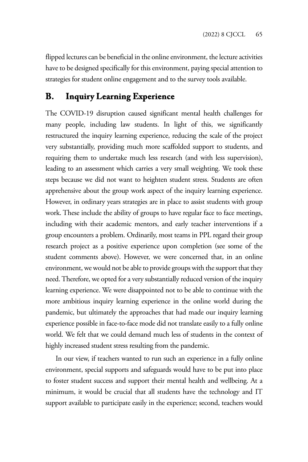flipped lectures can be beneficial in the online environment, the lecture activities have to be designed specifically for this environment, paying special attention to strategies for student online engagement and to the survey tools available.

## **B. Inquiry Learning Experience**

The COVID-19 disruption caused significant mental health challenges for many people, including law students. In light of this, we significantly restructured the inquiry learning experience, reducing the scale of the project very substantially, providing much more scaffolded support to students, and requiring them to undertake much less research (and with less supervision), leading to an assessment which carries a very small weighting. We took these steps because we did not want to heighten student stress. Students are often apprehensive about the group work aspect of the inquiry learning experience. However, in ordinary years strategies are in place to assist students with group work. These include the ability of groups to have regular face to face meetings, including with their academic mentors, and early teacher interventions if a group encounters a problem. Ordinarily, most teams in PPL regard their group research project as a positive experience upon completion (see some of the student comments above). However, we were concerned that, in an online environment, we would not be able to provide groups with the support that they need. Therefore, we opted for a very substantially reduced version of the inquiry learning experience. We were disappointed not to be able to continue with the more ambitious inquiry learning experience in the online world during the pandemic, but ultimately the approaches that had made our inquiry learning experience possible in face-to-face mode did not translate easily to a fully online world. We felt that we could demand much less of students in the context of highly increased student stress resulting from the pandemic.

In our view, if teachers wanted to run such an experience in a fully online environment, special supports and safeguards would have to be put into place to foster student success and support their mental health and wellbeing. At a minimum, it would be crucial that all students have the technology and IT support available to participate easily in the experience; second, teachers would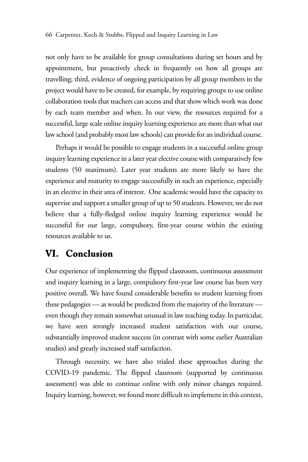not only have to be available for group consultations during set hours and by appointment, but proactively check in frequently on how all groups are travelling; third, evidence of ongoing participation by all group members in the project would have to be created, for example, by requiring groups to use online collaboration tools that teachers can access and that show which work was done by each team member and when. In our view, the resources required for a successful, large scale online inquiry learning experience are more than what our law school (and probably most law schools) can provide for an individual course.

Perhaps it would be possible to engage students in a successful online group inquiry learning experience in a later year elective course with comparatively few students (50 maximum). Later year students are more likely to have the experience and maturity to engage successfully in such an experience, especially in an elective in their area of interest. One academic would have the capacity to supervise and support a smaller group of up to 50 students. However, we do not believe that a fully-fledged online inquiry learning experience would be successful for our large, compulsory, first-year course within the existing resources available to us.

## **VI. Conclusion**

Our experience of implementing the flipped classroom, continuous assessment and inquiry learning in a large, compulsory first-year law course has been very positive overall. We have found considerable benefits to student learning from these pedagogies — as would be predicted from the majority of the literature even though they remain somewhat unusual in law teaching today. In particular, we have seen strongly increased student satisfaction with our course, substantially improved student success (in contrast with some earlier Australian studies) and greatly increased staff satisfaction.

Through necessity, we have also trialed these approaches during the COVID-19 pandemic. The flipped classroom (supported by continuous assessment) was able to continue online with only minor changes required. Inquiry learning, however, we found more difficult to implement in this context,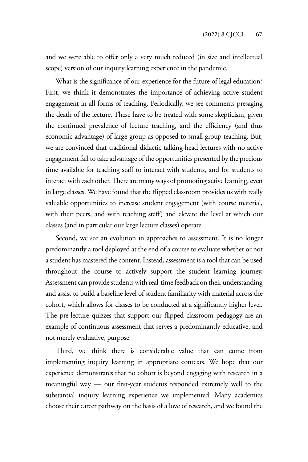and we were able to offer only a very much reduced (in size and intellectual scope) version of our inquiry learning experience in the pandemic.

What is the significance of our experience for the future of legal education? First, we think it demonstrates the importance of achieving active student engagement in all forms of teaching. Periodically, we see comments presaging the death of the lecture. These have to be treated with some skepticism, given the continued prevalence of lecture teaching, and the efficiency (and thus economic advantage) of large-group as opposed to small-group teaching. But, we are convinced that traditional didactic talking-head lectures with no active engagement fail to take advantage of the opportunities presented by the precious time available for teaching staff to interact with students, and for students to interact with each other. There are many ways of promoting active learning, even in large classes. We have found that the flipped classroom provides us with really valuable opportunities to increase student engagement (with course material, with their peers, and with teaching staff) and elevate the level at which our classes (and in particular our large lecture classes) operate.

Second, we see an evolution in approaches to assessment. It is no longer predominantly a tool deployed at the end of a course to evaluate whether or not a student has mastered the content. Instead, assessment is a tool that can be used throughout the course to actively support the student learning journey. Assessment can provide students with real-time feedback on their understanding and assist to build a baseline level of student familiarity with material across the cohort, which allows for classes to be conducted at a significantly higher level. The pre-lecture quizzes that support our flipped classroom pedagogy are an example of continuous assessment that serves a predominantly educative, and not merely evaluative, purpose.

Third, we think there is considerable value that can come from implementing inquiry learning in appropriate contexts. We hope that our experience demonstrates that no cohort is beyond engaging with research in a meaningful way — our first-year students responded extremely well to the substantial inquiry learning experience we implemented. Many academics choose their career pathway on the basis of a love of research, and we found the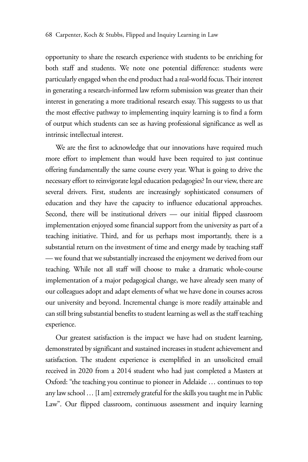opportunity to share the research experience with students to be enriching for both staff and students. We note one potential difference: students were particularly engaged when the end product had a real-world focus. Their interest in generating a research-informed law reform submission was greater than their interest in generating a more traditional research essay. This suggests to us that the most effective pathway to implementing inquiry learning is to find a form of output which students can see as having professional significance as well as intrinsic intellectual interest.

We are the first to acknowledge that our innovations have required much more effort to implement than would have been required to just continue offering fundamentally the same course every year. What is going to drive the necessary effort to reinvigorate legal education pedagogies? In our view, there are several drivers. First, students are increasingly sophisticated consumers of education and they have the capacity to influence educational approaches. Second, there will be institutional drivers — our initial flipped classroom implementation enjoyed some financial support from the university as part of a teaching initiative. Third, and for us perhaps most importantly, there is a substantial return on the investment of time and energy made by teaching staff — we found that we substantially increased the enjoyment we derived from our teaching. While not all staff will choose to make a dramatic whole-course implementation of a major pedagogical change, we have already seen many of our colleagues adopt and adapt elements of what we have done in courses across our university and beyond. Incremental change is more readily attainable and can still bring substantial benefits to student learning as well as the staff teaching experience.

Our greatest satisfaction is the impact we have had on student learning, demonstrated by significant and sustained increases in student achievement and satisfaction. The student experience is exemplified in an unsolicited email received in 2020 from a 2014 student who had just completed a Masters at Oxford: "the teaching you continue to pioneer in Adelaide … continues to top any law school … [I am] extremely grateful for the skills you taught me in Public Law". Our flipped classroom, continuous assessment and inquiry learning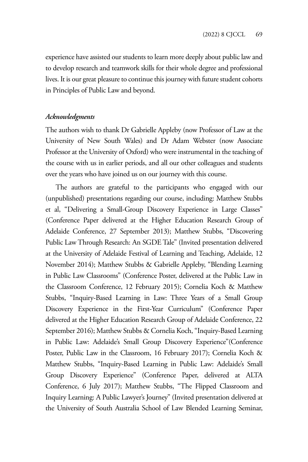experience have assisted our students to learn more deeply about public law and to develop research and teamwork skills for their whole degree and professional lives. It is our great pleasure to continue this journey with future student cohorts in Principles of Public Law and beyond.

#### *Acknowledgments*

The authors wish to thank Dr Gabrielle Appleby (now Professor of Law at the University of New South Wales) and Dr Adam Webster (now Associate Professor at the University of Oxford) who were instrumental in the teaching of the course with us in earlier periods, and all our other colleagues and students over the years who have joined us on our journey with this course.

The authors are grateful to the participants who engaged with our (unpublished) presentations regarding our course, including: Matthew Stubbs et al, "Delivering a Small-Group Discovery Experience in Large Classes" (Conference Paper delivered at the Higher Education Research Group of Adelaide Conference, 27 September 2013); Matthew Stubbs, "Discovering Public Law Through Research: An SGDE Tale" (Invited presentation delivered at the University of Adelaide Festival of Learning and Teaching, Adelaide, 12 November 2014); Matthew Stubbs & Gabrielle Appleby, "Blending Learning in Public Law Classrooms" (Conference Poster, delivered at the Public Law in the Classroom Conference, 12 February 2015); Cornelia Koch & Matthew Stubbs, "Inquiry-Based Learning in Law: Three Years of a Small Group Discovery Experience in the First-Year Curriculum" (Conference Paper delivered at the Higher Education Research Group of Adelaide Conference, 22 September 2016); Matthew Stubbs & Cornelia Koch, "Inquiry-Based Learning in Public Law: Adelaide's Small Group Discovery Experience"(Conference Poster, Public Law in the Classroom, 16 February 2017); Cornelia Koch & Matthew Stubbs, "Inquiry-Based Learning in Public Law: Adelaide's Small Group Discovery Experience" (Conference Paper, delivered at ALTA Conference, 6 July 2017); Matthew Stubbs, "The Flipped Classroom and Inquiry Learning: A Public Lawyer's Journey" (Invited presentation delivered at the University of South Australia School of Law Blended Learning Seminar,